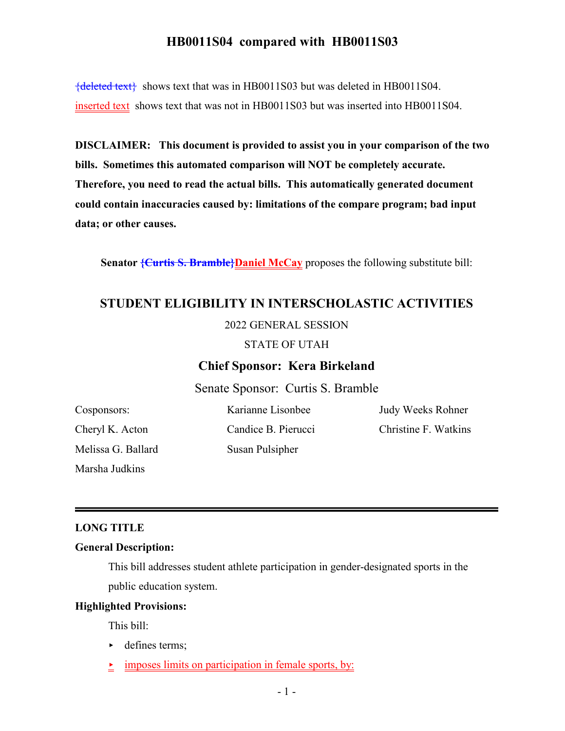${deleted text}$  shows text that was in HB0011S03 but was deleted in HB0011S04. inserted text shows text that was not in HB0011S03 but was inserted into HB0011S04.

**DISCLAIMER: This document is provided to assist you in your comparison of the two bills. Sometimes this automated comparison will NOT be completely accurate. Therefore, you need to read the actual bills. This automatically generated document could contain inaccuracies caused by: limitations of the compare program; bad input data; or other causes.**

**Senator <del>{Curtis S. Bramble}</del>Daniel McCay** proposes the following substitute bill:

## **STUDENT ELIGIBILITY IN INTERSCHOLASTIC ACTIVITIES**

#### 2022 GENERAL SESSION

#### STATE OF UTAH

#### **Chief Sponsor: Kera Birkeland**

Senate Sponsor: Curtis S. Bramble

Cosponsors: Cheryl K. Acton Melissa G. Ballard Marsha Judkins

Karianne Lisonbee Candice B. Pierucci Susan Pulsipher

Judy Weeks Rohner Christine F. Watkins

#### **LONG TITLE**

#### **General Description:**

This bill addresses student athlete participation in gender-designated sports in the public education system.

#### **Highlighted Provisions:**

This bill:

- $\blacktriangleright$  defines terms;
- $\textcolor{red}{\bullet}$  imposes limits on participation in female sports, by: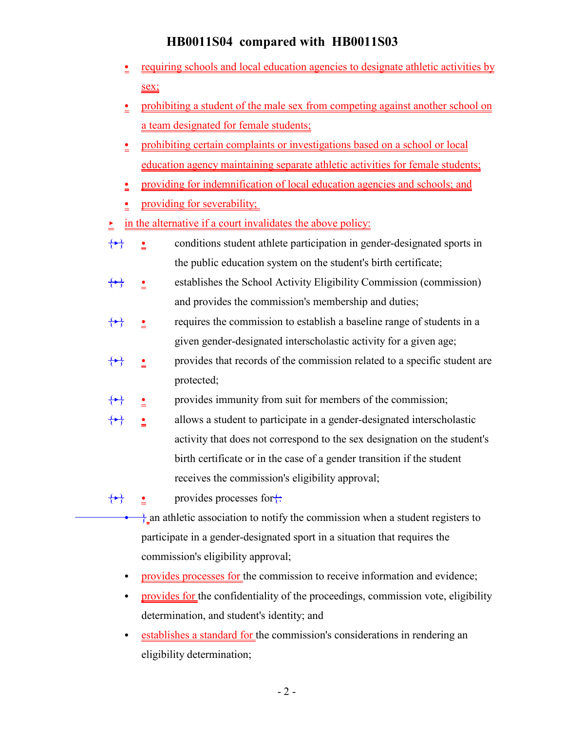- e <u>requiring schools and local education agencies to designate athletic activities by</u> sex;
- prohibiting a student of the male sex from competing against another school on a team designated for female students;
- prohibiting certain complaints or investigations based on a school or local education agency maintaining separate athletic activities for female students;
- providing for indemnification of local education agencies and schools; and
- $\bullet$  providing for severability;

 $\frac{\cdot}{\cdot}$  in the alternative if a court invalidates the above policy:

- $\{\rightarrow\}$  conditions student athlete participation in gender-designated sports in the public education system on the student's birth certificate;
- $\bullet$  establishes the School Activity Eligibility Commission (commission) and provides the commission's membership and duties;
- $\frac{\bullet}{\bullet}$  requires the commission to establish a baseline range of students in a given gender-designated interscholastic activity for a given age;
- $\frac{\bullet}{\bullet}$  provides that records of the commission related to a specific student are protected;
- $\bullet$  provides immunity from suit for members of the commission;
- $\frac{\cdot}{\cdot}$  allows a student to participate in a gender-designated interscholastic activity that does not correspond to the sex designation on the student's birth certificate or in the case of a gender transition if the student receives the commission's eligibility approval;

 $\leftrightarrow$  o provides processes for $\leftrightarrow$ 

- $\frac{1}{6}$  an athletic association to notify the commission when a student registers to participate in a gender-designated sport in a situation that requires the commission's eligibility approval;
- provides processes for the commission to receive information and evidence;
- provides for the confidentiality of the proceedings, commission vote, eligibility determination, and student's identity; and
- establishes a standard for the commission's considerations in rendering an eligibility determination;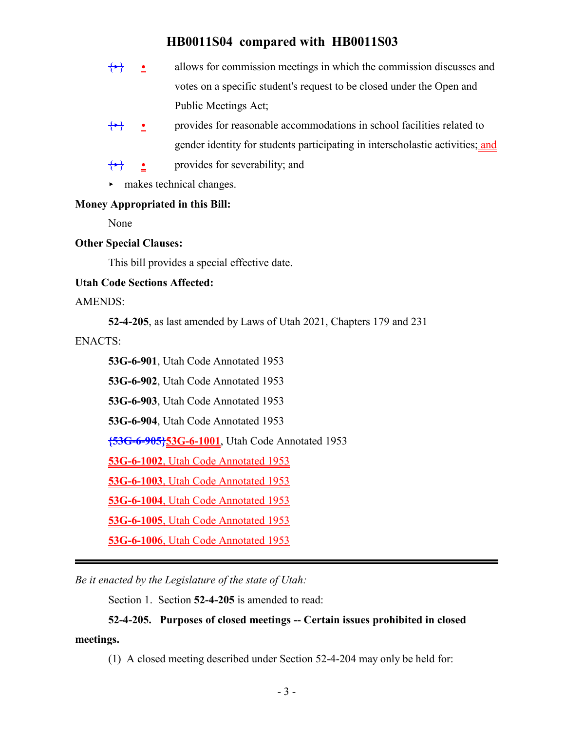- $\left\{\rightarrow\right\}$  **e** allows for commission meetings in which the commission discusses and votes on a specific student's request to be closed under the Open and Public Meetings Act;
- $\{\rightarrow\}$  provides for reasonable accommodations in school facilities related to gender identity for students participating in interscholastic activities; and
- provides for severability; and

 $\blacktriangleright$  makes technical changes.

### **Money Appropriated in this Bill:**

None

### **Other Special Clauses:**

This bill provides a special effective date.

### **Utah Code Sections Affected:**

AMENDS:

**52-4-205**, as last amended by Laws of Utah 2021, Chapters 179 and 231

ENACTS:

**53G-6-901**, Utah Code Annotated 1953

**53G-6-902**, Utah Code Annotated 1953

**53G-6-903**, Utah Code Annotated 1953

**53G-6-904**, Utah Code Annotated 1953

**{53G-6-905}53G-6-1001**, Utah Code Annotated 1953

**53G-6-1002**, Utah Code Annotated 1953

**53G-6-1003**, Utah Code Annotated 1953

**53G-6-1004**, Utah Code Annotated 1953

**53G-6-1005**, Utah Code Annotated 1953

**53G-6-1006**, Utah Code Annotated 1953

*Be it enacted by the Legislature of the state of Utah:*

Section 1. Section **52-4-205** is amended to read:

### **52-4-205. Purposes of closed meetings -- Certain issues prohibited in closed**

**meetings.**

(1) A closed meeting described under Section 52-4-204 may only be held for: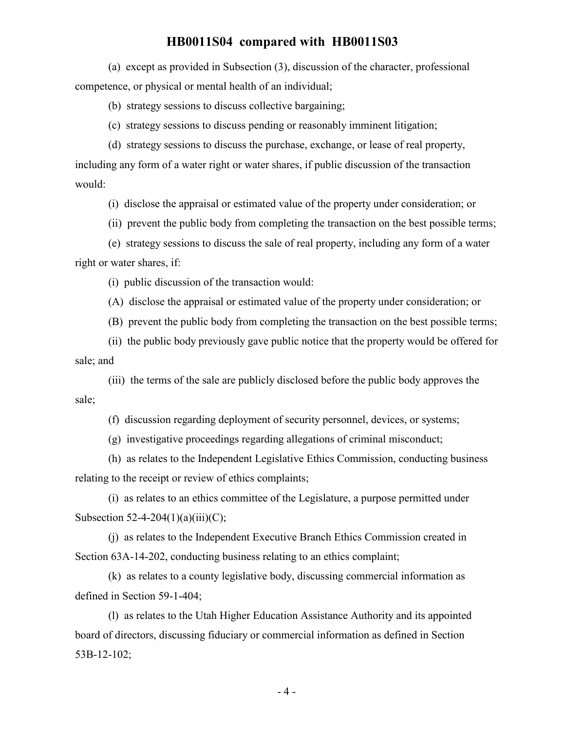(a) except as provided in Subsection (3), discussion of the character, professional competence, or physical or mental health of an individual;

(b) strategy sessions to discuss collective bargaining;

(c) strategy sessions to discuss pending or reasonably imminent litigation;

(d) strategy sessions to discuss the purchase, exchange, or lease of real property,

including any form of a water right or water shares, if public discussion of the transaction would:

(i) disclose the appraisal or estimated value of the property under consideration; or

(ii) prevent the public body from completing the transaction on the best possible terms;

(e) strategy sessions to discuss the sale of real property, including any form of a water right or water shares, if:

(i) public discussion of the transaction would:

(A) disclose the appraisal or estimated value of the property under consideration; or

(B) prevent the public body from completing the transaction on the best possible terms;

(ii) the public body previously gave public notice that the property would be offered for sale; and

(iii) the terms of the sale are publicly disclosed before the public body approves the sale;

(f) discussion regarding deployment of security personnel, devices, or systems;

(g) investigative proceedings regarding allegations of criminal misconduct;

(h) as relates to the Independent Legislative Ethics Commission, conducting business relating to the receipt or review of ethics complaints;

(i) as relates to an ethics committee of the Legislature, a purpose permitted under Subsection  $52-4-204(1)(a)(iii)(C)$ ;

(j) as relates to the Independent Executive Branch Ethics Commission created in Section 63A-14-202, conducting business relating to an ethics complaint;

(k) as relates to a county legislative body, discussing commercial information as defined in Section 59-1-404;

(l) as relates to the Utah Higher Education Assistance Authority and its appointed board of directors, discussing fiduciary or commercial information as defined in Section 53B-12-102;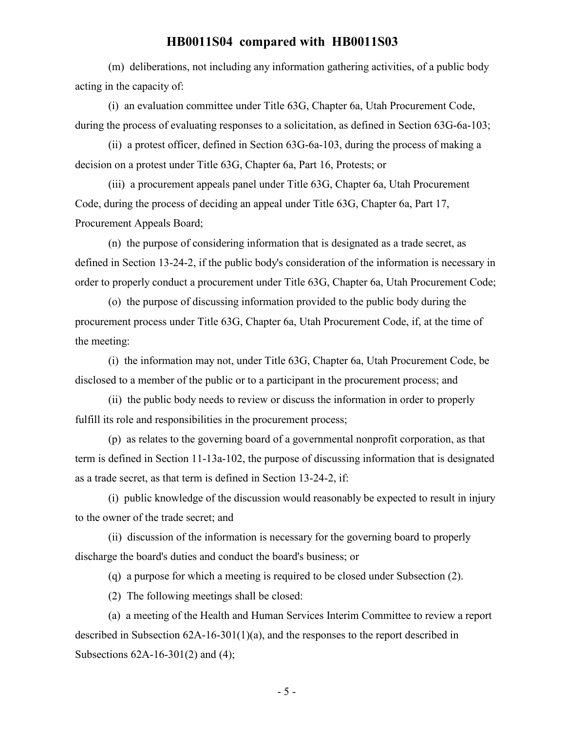(m) deliberations, not including any information gathering activities, of a public body acting in the capacity of:

(i) an evaluation committee under Title 63G, Chapter 6a, Utah Procurement Code, during the process of evaluating responses to a solicitation, as defined in Section 63G-6a-103;

(ii) a protest officer, defined in Section 63G-6a-103, during the process of making a decision on a protest under Title 63G, Chapter 6a, Part 16, Protests; or

(iii) a procurement appeals panel under Title 63G, Chapter 6a, Utah Procurement Code, during the process of deciding an appeal under Title 63G, Chapter 6a, Part 17, Procurement Appeals Board;

(n) the purpose of considering information that is designated as a trade secret, as defined in Section 13-24-2, if the public body's consideration of the information is necessary in order to properly conduct a procurement under Title 63G, Chapter 6a, Utah Procurement Code;

(o) the purpose of discussing information provided to the public body during the procurement process under Title 63G, Chapter 6a, Utah Procurement Code, if, at the time of the meeting:

(i) the information may not, under Title 63G, Chapter 6a, Utah Procurement Code, be disclosed to a member of the public or to a participant in the procurement process; and

(ii) the public body needs to review or discuss the information in order to properly fulfill its role and responsibilities in the procurement process;

(p) as relates to the governing board of a governmental nonprofit corporation, as that term is defined in Section 11-13a-102, the purpose of discussing information that is designated as a trade secret, as that term is defined in Section 13-24-2, if:

(i) public knowledge of the discussion would reasonably be expected to result in injury to the owner of the trade secret; and

(ii) discussion of the information is necessary for the governing board to properly discharge the board's duties and conduct the board's business; or

(q) a purpose for which a meeting is required to be closed under Subsection (2).

(2) The following meetings shall be closed:

(a) a meeting of the Health and Human Services Interim Committee to review a report described in Subsection 62A-16-301(1)(a), and the responses to the report described in Subsections 62A-16-301(2) and (4);

- 5 -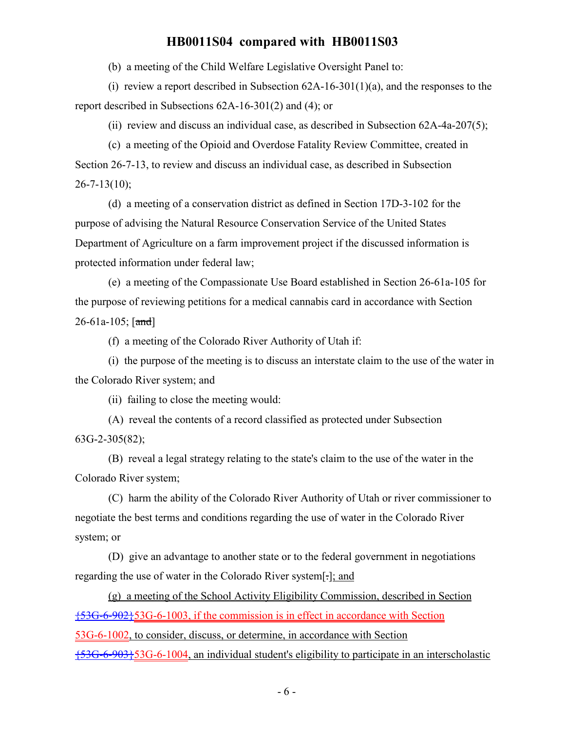(b) a meeting of the Child Welfare Legislative Oversight Panel to:

(i) review a report described in Subsection  $62A-16-301(1)(a)$ , and the responses to the report described in Subsections 62A-16-301(2) and (4); or

(ii) review and discuss an individual case, as described in Subsection 62A-4a-207(5);

(c) a meeting of the Opioid and Overdose Fatality Review Committee, created in Section 26-7-13, to review and discuss an individual case, as described in Subsection  $26 - 7 - 13(10)$ ;

(d) a meeting of a conservation district as defined in Section 17D-3-102 for the purpose of advising the Natural Resource Conservation Service of the United States Department of Agriculture on a farm improvement project if the discussed information is protected information under federal law;

(e) a meeting of the Compassionate Use Board established in Section 26-61a-105 for the purpose of reviewing petitions for a medical cannabis card in accordance with Section  $26 - 61a - 105$ ;  $[and]$ 

(f) a meeting of the Colorado River Authority of Utah if:

(i) the purpose of the meeting is to discuss an interstate claim to the use of the water in the Colorado River system; and

(ii) failing to close the meeting would:

(A) reveal the contents of a record classified as protected under Subsection 63G-2-305(82);

(B) reveal a legal strategy relating to the state's claim to the use of the water in the Colorado River system;

(C) harm the ability of the Colorado River Authority of Utah or river commissioner to negotiate the best terms and conditions regarding the use of water in the Colorado River system; or

(D) give an advantage to another state or to the federal government in negotiations regarding the use of water in the Colorado River system[.]; and

(g) a meeting of the School Activity Eligibility Commission, described in Section {53G-6-902}53G-6-1003, if the commission is in effect in accordance with Section

53G-6-1002, to consider, discuss, or determine, in accordance with Section

{53G-6-903}53G-6-1004, an individual student's eligibility to participate in an interscholastic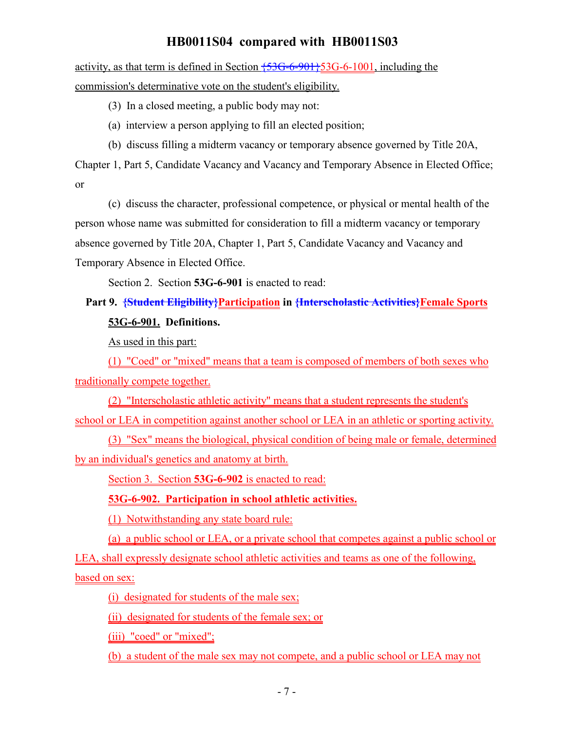activity, as that term is defined in Section  $\overline{53G-6-901}$ ,  $\overline{53G-6-1001}$ , including the commission's determinative vote on the student's eligibility.

(3) In a closed meeting, a public body may not:

(a) interview a person applying to fill an elected position;

(b) discuss filling a midterm vacancy or temporary absence governed by Title 20A,

Chapter 1, Part 5, Candidate Vacancy and Vacancy and Temporary Absence in Elected Office; or

(c) discuss the character, professional competence, or physical or mental health of the person whose name was submitted for consideration to fill a midterm vacancy or temporary absence governed by Title 20A, Chapter 1, Part 5, Candidate Vacancy and Vacancy and Temporary Absence in Elected Office.

Section 2. Section **53G-6-901** is enacted to read:

# Part 9. <del>{Student Eligibility}Participation</del> in <del>{Interscholastic Activities}Female Sports</del> **53G-6-901. Definitions.**

As used in this part:

(1) "Coed" or "mixed" means that a team is composed of members of both sexes who traditionally compete together.

(2) "Interscholastic athletic activity" means that a student represents the student's school or LEA in competition against another school or LEA in an athletic or sporting activity.

(3) "Sex" means the biological, physical condition of being male or female, determined by an individual's genetics and anatomy at birth.

Section 3. Section **53G-6-902** is enacted to read:

**53G-6-902. Participation in school athletic activities.**

(1) Notwithstanding any state board rule:

(a) a public school or LEA, or a private school that competes against a public school or LEA, shall expressly designate school athletic activities and teams as one of the following,

based on sex:

(i) designated for students of the male sex;

(ii) designated for students of the female sex; or

(iii) "coed" or "mixed";

(b) a student of the male sex may not compete, and a public school or LEA may not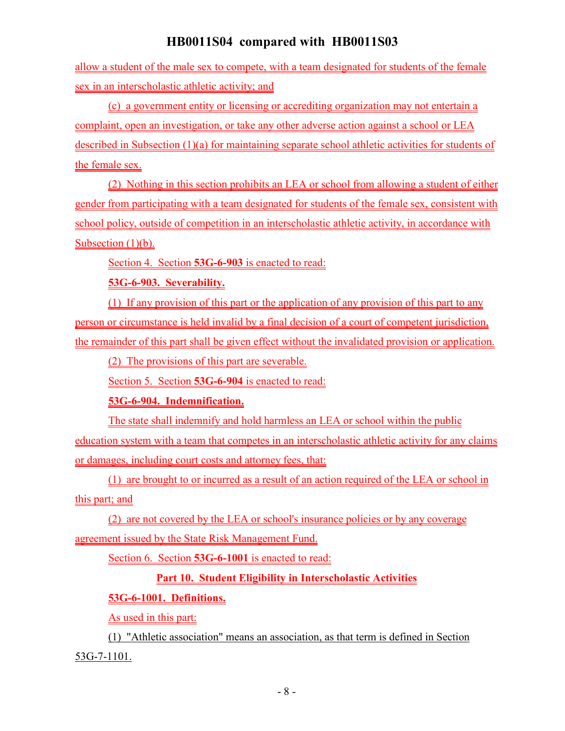allow a student of the male sex to compete, with a team designated for students of the female sex in an interscholastic athletic activity; and

(c) a government entity or licensing or accrediting organization may not entertain a complaint, open an investigation, or take any other adverse action against a school or LEA described in Subsection (1)(a) for maintaining separate school athletic activities for students of the female sex.

(2) Nothing in this section prohibits an LEA or school from allowing a student of either gender from participating with a team designated for students of the female sex, consistent with school policy, outside of competition in an interscholastic athletic activity, in accordance with Subsection  $(1)(b)$ .

Section 4. Section **53G-6-903** is enacted to read:

### **53G-6-903. Severability.**

(1) If any provision of this part or the application of any provision of this part to any person or circumstance is held invalid by a final decision of a court of competent jurisdiction, the remainder of this part shall be given effect without the invalidated provision or application.

(2) The provisions of this part are severable.

Section 5. Section **53G-6-904** is enacted to read:

## **53G-6-904. Indemnification.**

The state shall indemnify and hold harmless an LEA or school within the public education system with a team that competes in an interscholastic athletic activity for any claims or damages, including court costs and attorney fees, that:

(1) are brought to or incurred as a result of an action required of the LEA or school in this part; and

(2) are not covered by the LEA or school's insurance policies or by any coverage agreement issued by the State Risk Management Fund.

Section 6. Section **53G-6-1001** is enacted to read:

## **Part 10. Student Eligibility in Interscholastic Activities**

## **53G-6-1001. Definitions.**

As used in this part:

(1) "Athletic association" means an association, as that term is defined in Section 53G-7-1101.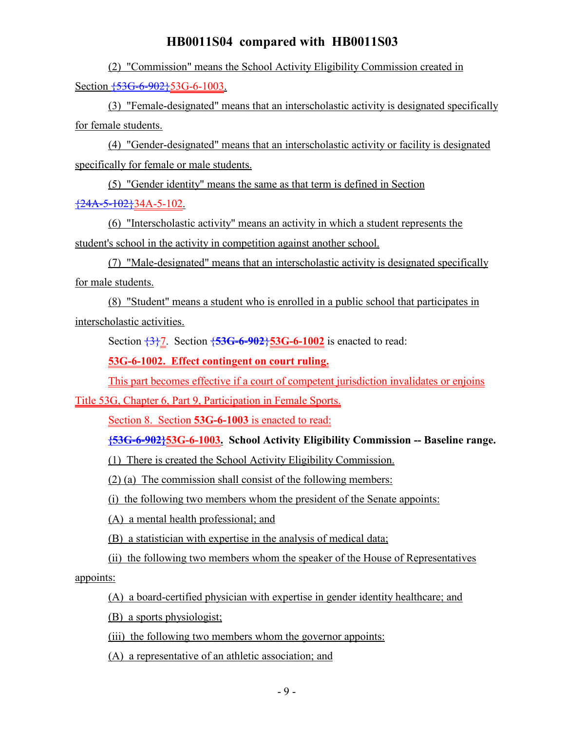(2) "Commission" means the School Activity Eligibility Commission created in Section  $\overline{+53G-6-902}$  53G-6-1003.

(3) "Female-designated" means that an interscholastic activity is designated specifically for female students.

(4) "Gender-designated" means that an interscholastic activity or facility is designated specifically for female or male students.

(5) "Gender identity" means the same as that term is defined in Section  $\{24A-5-102\}34A-5-102$ .

(6) "Interscholastic activity" means an activity in which a student represents the student's school in the activity in competition against another school.

(7) "Male-designated" means that an interscholastic activity is designated specifically for male students.

(8) "Student" means a student who is enrolled in a public school that participates in interscholastic activities.

Section {3}7. Section {**53G-6-902**}**53G-6-1002** is enacted to read:

**53G-6-1002. Effect contingent on court ruling.**

This part becomes effective if a court of competent jurisdiction invalidates or enjoins

Title 53G, Chapter 6, Part 9, Participation in Female Sports.

Section 8. Section **53G-6-1003** is enacted to read:

**{53G-6-902}53G-6-1003. School Activity Eligibility Commission -- Baseline range.**

(1) There is created the School Activity Eligibility Commission.

(2) (a) The commission shall consist of the following members:

(i) the following two members whom the president of the Senate appoints:

(A) a mental health professional; and

(B) a statistician with expertise in the analysis of medical data;

(ii) the following two members whom the speaker of the House of Representatives

appoints:

(A) a board-certified physician with expertise in gender identity healthcare; and

(B) a sports physiologist;

(iii) the following two members whom the governor appoints:

(A) a representative of an athletic association; and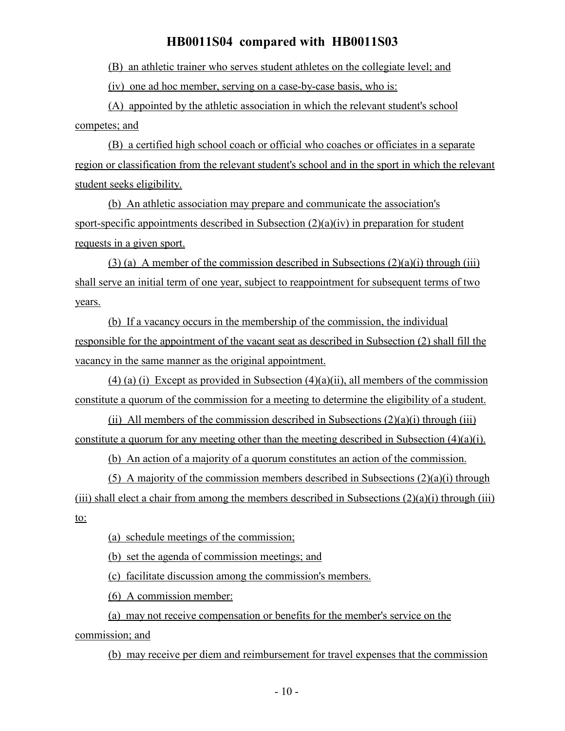(B) an athletic trainer who serves student athletes on the collegiate level; and

(iv) one ad hoc member, serving on a case-by-case basis, who is:

(A) appointed by the athletic association in which the relevant student's school competes; and

(B) a certified high school coach or official who coaches or officiates in a separate region or classification from the relevant student's school and in the sport in which the relevant student seeks eligibility.

(b) An athletic association may prepare and communicate the association's sport-specific appointments described in Subsection (2)(a)(iv) in preparation for student requests in a given sport.

(3) (a) A member of the commission described in Subsections  $(2)(a)(i)$  through (iii) shall serve an initial term of one year, subject to reappointment for subsequent terms of two years.

(b) If a vacancy occurs in the membership of the commission, the individual responsible for the appointment of the vacant seat as described in Subsection (2) shall fill the vacancy in the same manner as the original appointment.

(4) (a) (i) Except as provided in Subsection  $(4)(a)(ii)$ , all members of the commission constitute a quorum of the commission for a meeting to determine the eligibility of a student.

(ii) All members of the commission described in Subsections  $(2)(a)(i)$  through (iii) constitute a quorum for any meeting other than the meeting described in Subsection (4)(a)(i).

(b) An action of a majority of a quorum constitutes an action of the commission.

(5) A majority of the commission members described in Subsections  $(2)(a)(i)$  through (iii) shall elect a chair from among the members described in Subsections  $(2)(a)(i)$  through (iii) to:

(a) schedule meetings of the commission;

(b) set the agenda of commission meetings; and

(c) facilitate discussion among the commission's members.

(6) A commission member:

(a) may not receive compensation or benefits for the member's service on the commission; and

(b) may receive per diem and reimbursement for travel expenses that the commission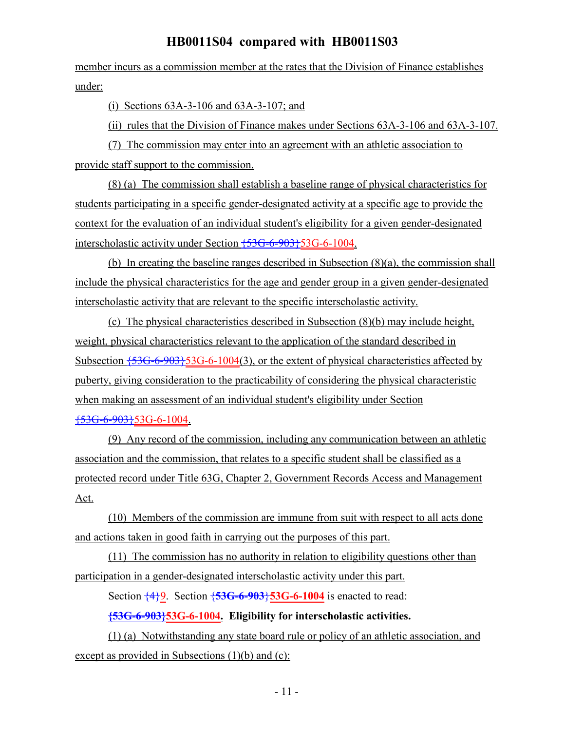member incurs as a commission member at the rates that the Division of Finance establishes under:

(i) Sections 63A-3-106 and 63A-3-107; and

(ii) rules that the Division of Finance makes under Sections 63A-3-106 and 63A-3-107.

(7) The commission may enter into an agreement with an athletic association to provide staff support to the commission.

(8) (a) The commission shall establish a baseline range of physical characteristics for students participating in a specific gender-designated activity at a specific age to provide the context for the evaluation of an individual student's eligibility for a given gender-designated interscholastic activity under Section {53G-6-903}53G-6-1004.

(b) In creating the baseline ranges described in Subsection (8)(a), the commission shall include the physical characteristics for the age and gender group in a given gender-designated interscholastic activity that are relevant to the specific interscholastic activity.

(c) The physical characteristics described in Subsection (8)(b) may include height, weight, physical characteristics relevant to the application of the standard described in Subsection  $\{53G-6-903\}$ 53G-6-1004(3), or the extent of physical characteristics affected by puberty, giving consideration to the practicability of considering the physical characteristic when making an assessment of an individual student's eligibility under Section {53G-6-903}53G-6-1004.

(9) Any record of the commission, including any communication between an athletic association and the commission, that relates to a specific student shall be classified as a protected record under Title 63G, Chapter 2, Government Records Access and Management Act.

(10) Members of the commission are immune from suit with respect to all acts done and actions taken in good faith in carrying out the purposes of this part.

(11) The commission has no authority in relation to eligibility questions other than participation in a gender-designated interscholastic activity under this part.

Section {4}9. Section {**53G-6-903**}**53G-6-1004** is enacted to read:

**{53G-6-903}53G-6-1004. Eligibility for interscholastic activities.**

(1) (a) Notwithstanding any state board rule or policy of an athletic association, and except as provided in Subsections (1)(b) and (c):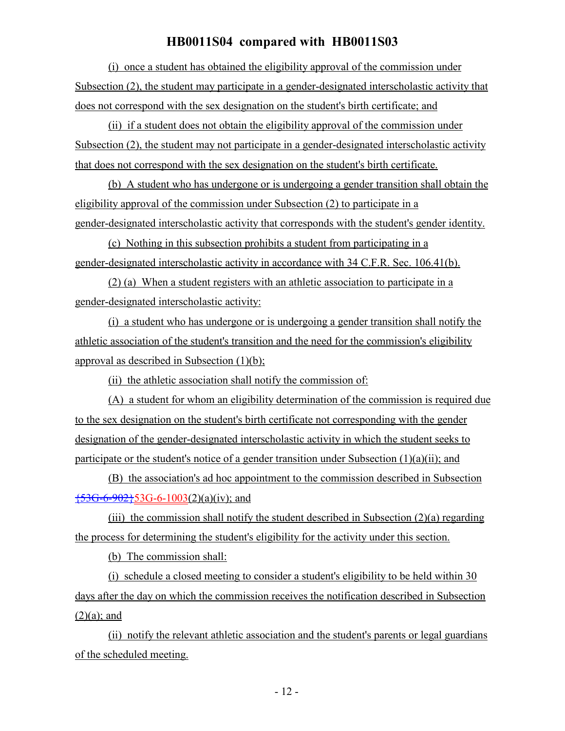(i) once a student has obtained the eligibility approval of the commission under Subsection (2), the student may participate in a gender-designated interscholastic activity that does not correspond with the sex designation on the student's birth certificate; and

(ii) if a student does not obtain the eligibility approval of the commission under Subsection (2), the student may not participate in a gender-designated interscholastic activity that does not correspond with the sex designation on the student's birth certificate.

(b) A student who has undergone or is undergoing a gender transition shall obtain the eligibility approval of the commission under Subsection (2) to participate in a gender-designated interscholastic activity that corresponds with the student's gender identity.

(c) Nothing in this subsection prohibits a student from participating in a gender-designated interscholastic activity in accordance with 34 C.F.R. Sec. 106.41(b).

(2) (a) When a student registers with an athletic association to participate in a gender-designated interscholastic activity:

(i) a student who has undergone or is undergoing a gender transition shall notify the athletic association of the student's transition and the need for the commission's eligibility approval as described in Subsection (1)(b);

(ii) the athletic association shall notify the commission of:

(A) a student for whom an eligibility determination of the commission is required due to the sex designation on the student's birth certificate not corresponding with the gender designation of the gender-designated interscholastic activity in which the student seeks to participate or the student's notice of a gender transition under Subsection (1)(a)(ii); and

(B) the association's ad hoc appointment to the commission described in Subsection  $\frac{1}{536-6-902}$  53G-6-1003(2)(a)(iv); and

(iii) the commission shall notify the student described in Subsection  $(2)(a)$  regarding the process for determining the student's eligibility for the activity under this section.

(b) The commission shall:

(i) schedule a closed meeting to consider a student's eligibility to be held within 30 days after the day on which the commission receives the notification described in Subsection  $(2)(a)$ ; and

(ii) notify the relevant athletic association and the student's parents or legal guardians of the scheduled meeting.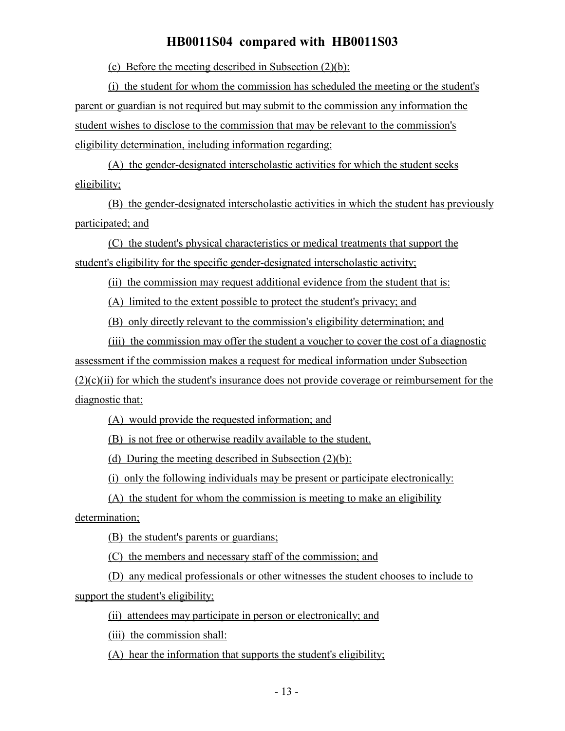(c) Before the meeting described in Subsection (2)(b):

(i) the student for whom the commission has scheduled the meeting or the student's parent or guardian is not required but may submit to the commission any information the student wishes to disclose to the commission that may be relevant to the commission's eligibility determination, including information regarding:

(A) the gender-designated interscholastic activities for which the student seeks eligibility;

(B) the gender-designated interscholastic activities in which the student has previously participated; and

(C) the student's physical characteristics or medical treatments that support the student's eligibility for the specific gender-designated interscholastic activity;

(ii) the commission may request additional evidence from the student that is:

(A) limited to the extent possible to protect the student's privacy; and

(B) only directly relevant to the commission's eligibility determination; and

(iii) the commission may offer the student a voucher to cover the cost of a diagnostic assessment if the commission makes a request for medical information under Subsection  $(2)(c)(ii)$  for which the student's insurance does not provide coverage or reimbursement for the diagnostic that:

(A) would provide the requested information; and

(B) is not free or otherwise readily available to the student.

(d) During the meeting described in Subsection (2)(b):

(i) only the following individuals may be present or participate electronically:

(A) the student for whom the commission is meeting to make an eligibility

determination;

(B) the student's parents or guardians;

(C) the members and necessary staff of the commission; and

(D) any medical professionals or other witnesses the student chooses to include to support the student's eligibility;

(ii) attendees may participate in person or electronically; and

(iii) the commission shall:

(A) hear the information that supports the student's eligibility;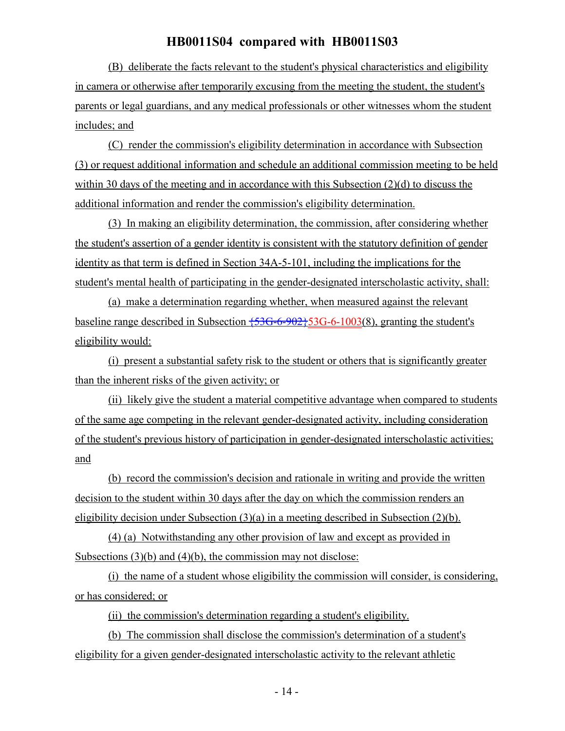(B) deliberate the facts relevant to the student's physical characteristics and eligibility in camera or otherwise after temporarily excusing from the meeting the student, the student's parents or legal guardians, and any medical professionals or other witnesses whom the student includes; and

(C) render the commission's eligibility determination in accordance with Subsection (3) or request additional information and schedule an additional commission meeting to be held within 30 days of the meeting and in accordance with this Subsection (2)(d) to discuss the additional information and render the commission's eligibility determination.

(3) In making an eligibility determination, the commission, after considering whether the student's assertion of a gender identity is consistent with the statutory definition of gender identity as that term is defined in Section 34A-5-101, including the implications for the student's mental health of participating in the gender-designated interscholastic activity, shall:

(a) make a determination regarding whether, when measured against the relevant baseline range described in Subsection  $\overline{53G-6-902}$  53G-6-1003(8), granting the student's eligibility would:

(i) present a substantial safety risk to the student or others that is significantly greater than the inherent risks of the given activity; or

(ii) likely give the student a material competitive advantage when compared to students of the same age competing in the relevant gender-designated activity, including consideration of the student's previous history of participation in gender-designated interscholastic activities; and

(b) record the commission's decision and rationale in writing and provide the written decision to the student within 30 days after the day on which the commission renders an eligibility decision under Subsection (3)(a) in a meeting described in Subsection (2)(b).

(4) (a) Notwithstanding any other provision of law and except as provided in Subsections (3)(b) and (4)(b), the commission may not disclose:

(i) the name of a student whose eligibility the commission will consider, is considering, or has considered; or

(ii) the commission's determination regarding a student's eligibility.

(b) The commission shall disclose the commission's determination of a student's eligibility for a given gender-designated interscholastic activity to the relevant athletic